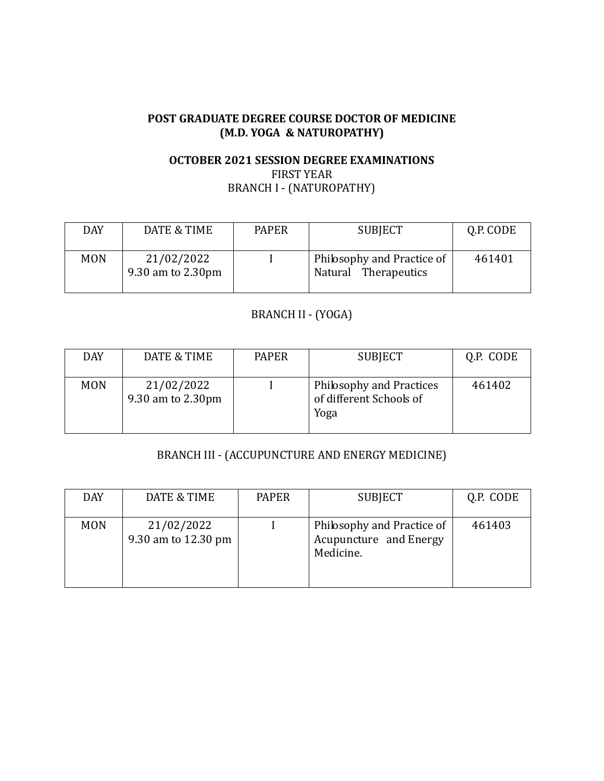#### **POST GRADUATE DEGREE COURSE DOCTOR OF MEDICINE (M.D. YOGA & NATUROPATHY)**

## **OCTOBER 2021 SESSION DEGREE EXAMINATIONS** FIRST YEAR BRANCH I - (NATUROPATHY)

| <b>DAY</b> | DATE & TIME                     | <b>PAPER</b> | <b>SUBJECT</b>                                     | Q.P. CODE |
|------------|---------------------------------|--------------|----------------------------------------------------|-----------|
| <b>MON</b> | 21/02/2022<br>9.30 am to 2.30pm |              | Philosophy and Practice of<br>Natural Therapeutics | 461401    |

#### BRANCH II - (YOGA)

| <b>DAY</b> | DATE & TIME                     | <b>PAPER</b> | <b>SUBJECT</b>                                              | Q.P. CODE |
|------------|---------------------------------|--------------|-------------------------------------------------------------|-----------|
| <b>MON</b> | 21/02/2022<br>9.30 am to 2.30pm |              | Philosophy and Practices<br>of different Schools of<br>Yoga | 461402    |

#### BRANCH III - (ACCUPUNCTURE AND ENERGY MEDICINE)

| <b>DAY</b> | DATE & TIME                       | <b>PAPER</b> | <b>SUBJECT</b>                                                    | Q.P. CODE |
|------------|-----------------------------------|--------------|-------------------------------------------------------------------|-----------|
| <b>MON</b> | 21/02/2022<br>9.30 am to 12.30 pm |              | Philosophy and Practice of<br>Acupuncture and Energy<br>Medicine. | 461403    |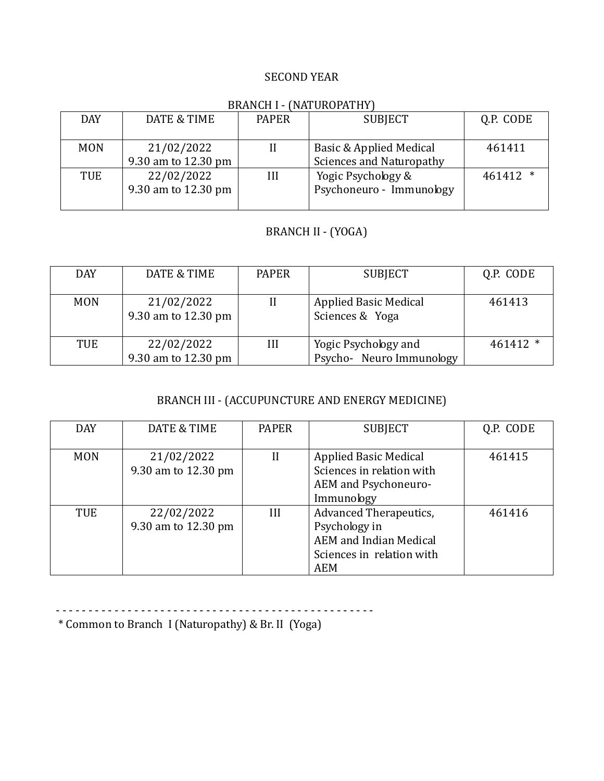#### SECOND YEAR

#### BRANCH I - (NATUROPATHY)

| <b>DAY</b> | DATE & TIME         | <b>PAPER</b> | <b>SUBJECT</b>                  | Q.P. CODE |
|------------|---------------------|--------------|---------------------------------|-----------|
|            |                     |              |                                 |           |
| <b>MON</b> | 21/02/2022          |              | Basic & Applied Medical         | 461411    |
|            | 9.30 am to 12.30 pm |              | <b>Sciences and Naturopathy</b> |           |
| <b>TUE</b> | 22/02/2022          | III          | Yogic Psychology &              | 461412 *  |
|            | 9.30 am to 12.30 pm |              | Psychoneuro - Immunology        |           |
|            |                     |              |                                 |           |

# BRANCH II - (YOGA)

| <b>DAY</b> | DATE & TIME                       | <b>PAPER</b> | <b>SUBJECT</b>                                  | Q.P. CODE  |
|------------|-----------------------------------|--------------|-------------------------------------------------|------------|
| <b>MON</b> | 21/02/2022<br>9.30 am to 12.30 pm |              | <b>Applied Basic Medical</b><br>Sciences & Yoga | 461413     |
| TUE        | 22/02/2022<br>9.30 am to 12.30 pm | III          | Yogic Psychology and<br>Psycho-Neuro Immunology | $461412$ * |

# BRANCH III - (ACCUPUNCTURE AND ENERGY MEDICINE)

| <b>DAY</b> | DATE & TIME                       | <b>PAPER</b> | <b>SUBJECT</b>                                                                                                             | Q.P. CODE |
|------------|-----------------------------------|--------------|----------------------------------------------------------------------------------------------------------------------------|-----------|
| <b>MON</b> | 21/02/2022<br>9.30 am to 12.30 pm | $_{II}$      | <b>Applied Basic Medical</b><br>Sciences in relation with<br>AEM and Psychoneuro-<br>Immunology                            | 461415    |
| <b>TUE</b> | 22/02/2022<br>9.30 am to 12.30 pm | III          | <b>Advanced Therapeutics,</b><br>Psychology in<br><b>AEM</b> and Indian Medical<br>Sciences in relation with<br><b>AEM</b> | 461416    |

- - - - - - - - - - - - - - - - - - - - - - - - - - - - - - - - - - - - - - - - - - - - - - - - -

\* Common to Branch I (Naturopathy) & Br. II (Yoga)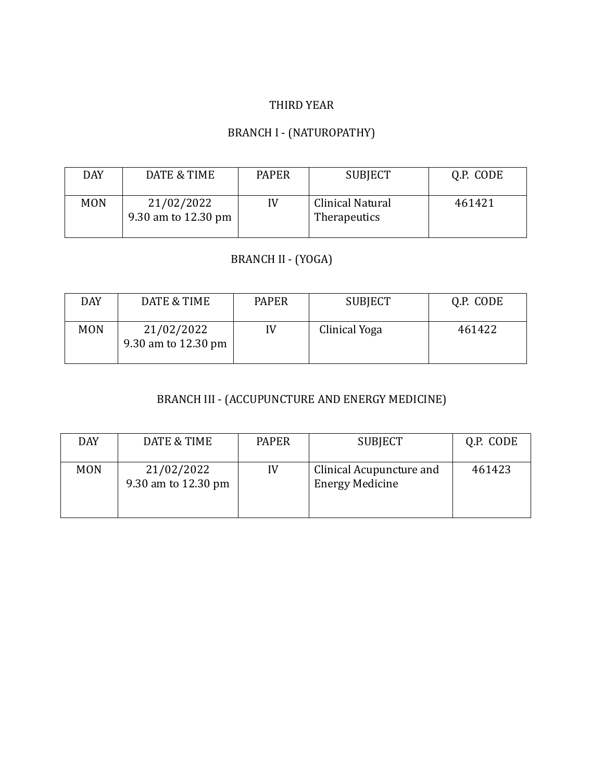## THIRD YEAR

# BRANCH I - (NATUROPATHY)

| <b>DAY</b> | DATE & TIME                       | <b>PAPER</b> | <b>SUBJECT</b>                          | Q.P. CODE |
|------------|-----------------------------------|--------------|-----------------------------------------|-----------|
| <b>MON</b> | 21/02/2022<br>9.30 am to 12.30 pm | IV           | <b>Clinical Natural</b><br>Therapeutics | 461421    |

# BRANCH II - (YOGA)

| DAY        | DATE & TIME                       | <b>PAPER</b> | <b>SUBJECT</b> | Q.P. CODE |
|------------|-----------------------------------|--------------|----------------|-----------|
| <b>MON</b> | 21/02/2022<br>9.30 am to 12.30 pm | IV           | Clinical Yoga  | 461422    |

# BRANCH III - (ACCUPUNCTURE AND ENERGY MEDICINE)

| <b>DAY</b> | DATE & TIME                       | <b>PAPER</b> | <b>SUBJECT</b>                                     | Q.P. CODE |
|------------|-----------------------------------|--------------|----------------------------------------------------|-----------|
| <b>MON</b> | 21/02/2022<br>9.30 am to 12.30 pm | IV           | Clinical Acupuncture and<br><b>Energy Medicine</b> | 461423    |